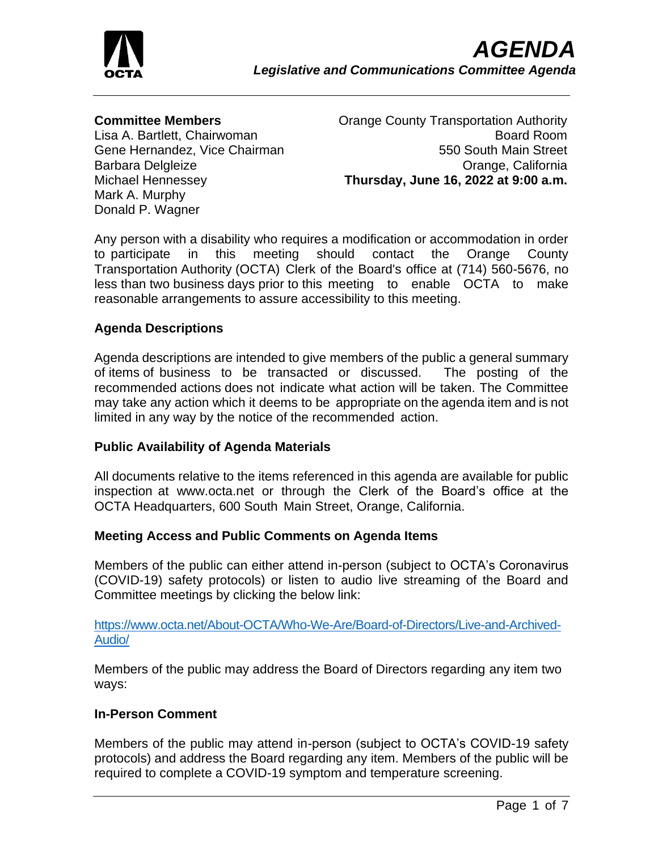

#### **Committee Members**

Lisa A. Bartlett, Chairwoman Gene Hernandez, Vice Chairman Barbara Delgleize Michael Hennessey Mark A. Murphy Donald P. Wagner

Orange County Transportation Authority Board Room 550 South Main Street Orange, California **Thursday, June 16, 2022 at 9:00 a.m.**

Any person with a disability who requires a modification or accommodation in order to participate in this meeting should contact the Orange County Transportation Authority (OCTA) Clerk of the Board's office at (714) 560-5676, no less than two business days prior to this meeting to enable OCTA to make reasonable arrangements to assure accessibility to this meeting.

### **Agenda Descriptions**

Agenda descriptions are intended to give members of the public a general summary of items of business to be transacted or discussed. The posting of the recommended actions does not indicate what action will be taken. The Committee may take any action which it deems to be appropriate on the agenda item and is not limited in any way by the notice of the recommended action.

#### **Public Availability of Agenda Materials**

All documents relative to the items referenced in this agenda are available for public inspection at www.octa.net or through the Clerk of the Board's office at the OCTA Headquarters, 600 South Main Street, Orange, California.

#### **Meeting Access and Public Comments on Agenda Items**

Members of the public can either attend in-person (subject to OCTA's Coronavirus (COVID-19) safety protocols) or listen to audio live streaming of the Board and Committee meetings by clicking the below link:

[https://www.octa.net/About-OCTA/Who-We-Are/Board-of-Directors/Live-and-Archived-](https://www.octa.net/About-OCTA/Who-We-Are/Board-of-Directors/Live-and-Archived-Audio/)[Audio/](https://www.octa.net/About-OCTA/Who-We-Are/Board-of-Directors/Live-and-Archived-Audio/)

Members of the public may address the Board of Directors regarding any item two ways:

#### **In-Person Comment**

Members of the public may attend in-person (subject to OCTA's COVID-19 safety protocols) and address the Board regarding any item. Members of the public will be required to complete a COVID-19 symptom and temperature screening.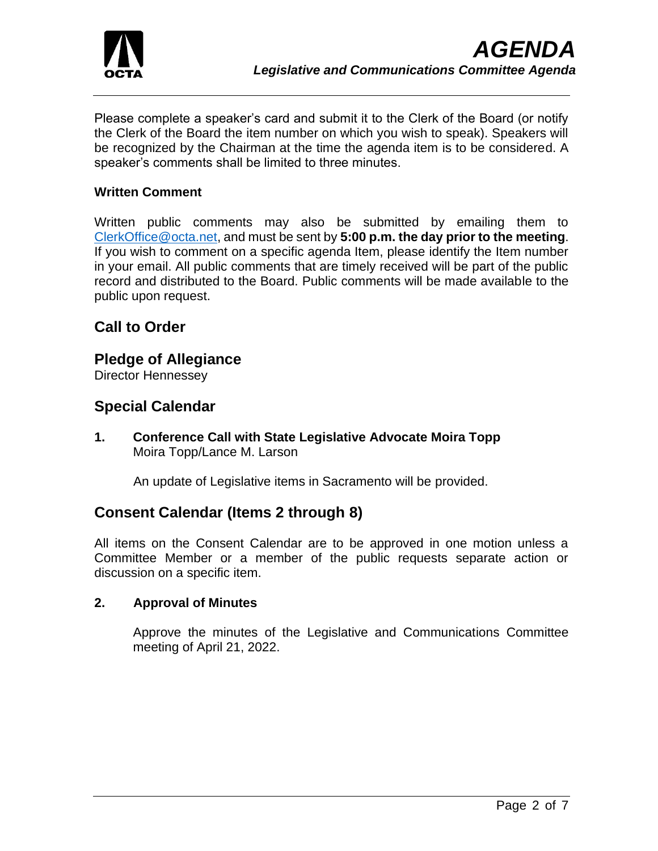

Please complete a speaker's card and submit it to the Clerk of the Board (or notify the Clerk of the Board the item number on which you wish to speak). Speakers will be recognized by the Chairman at the time the agenda item is to be considered. A speaker's comments shall be limited to three minutes.

### **Written Comment**

Written public comments may also be submitted by emailing them to [ClerkOffice@octa.net,](mailto:ClerkOffice@octa.net) and must be sent by **5:00 p.m. the day prior to the meeting**. If you wish to comment on a specific agenda Item, please identify the Item number in your email. All public comments that are timely received will be part of the public record and distributed to the Board. Public comments will be made available to the public upon request.

# **Call to Order**

## **Pledge of Allegiance**

Director Hennessey

# **Special Calendar**

**1. Conference Call with State Legislative Advocate Moira Topp** Moira Topp/Lance M. Larson

An update of Legislative items in Sacramento will be provided.

# **Consent Calendar (Items 2 through 8)**

All items on the Consent Calendar are to be approved in one motion unless a Committee Member or a member of the public requests separate action or discussion on a specific item.

#### **2. Approval of Minutes**

Approve the minutes of the Legislative and Communications Committee meeting of April 21, 2022.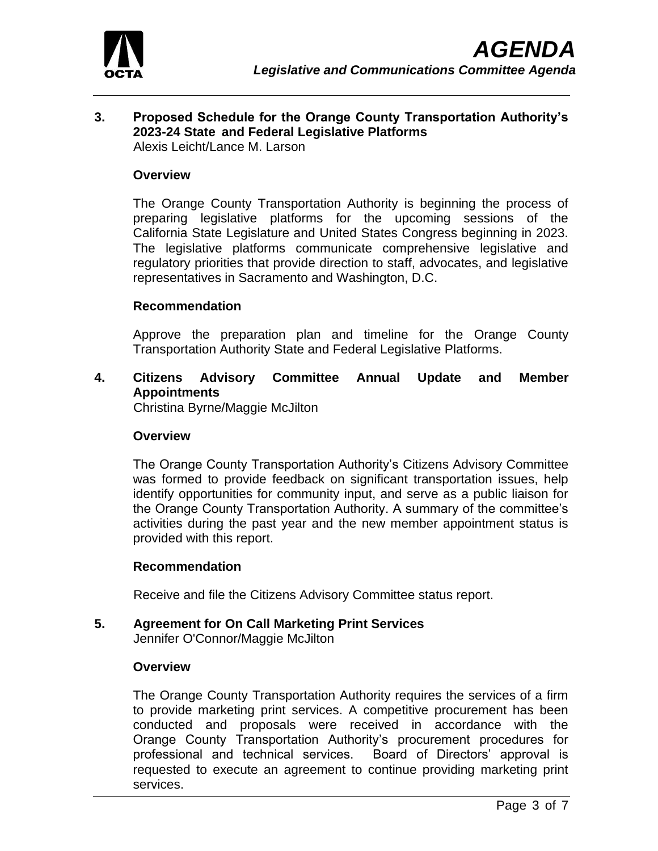

#### **3. Proposed Schedule for the Orange County Transportation Authority's 2023-24 State and Federal Legislative Platforms** Alexis Leicht/Lance M. Larson

#### **Overview**

The Orange County Transportation Authority is beginning the process of preparing legislative platforms for the upcoming sessions of the California State Legislature and United States Congress beginning in 2023. The legislative platforms communicate comprehensive legislative and regulatory priorities that provide direction to staff, advocates, and legislative representatives in Sacramento and Washington, D.C.

#### **Recommendation**

Approve the preparation plan and timeline for the Orange County Transportation Authority State and Federal Legislative Platforms.

#### **4. Citizens Advisory Committee Annual Update and Member Appointments**

Christina Byrne/Maggie McJilton

#### **Overview**

The Orange County Transportation Authority's Citizens Advisory Committee was formed to provide feedback on significant transportation issues, help identify opportunities for community input, and serve as a public liaison for the Orange County Transportation Authority. A summary of the committee's activities during the past year and the new member appointment status is provided with this report.

#### **Recommendation**

Receive and file the Citizens Advisory Committee status report.

# **5. Agreement for On Call Marketing Print Services**

Jennifer O'Connor/Maggie McJilton

#### **Overview**

The Orange County Transportation Authority requires the services of a firm to provide marketing print services. A competitive procurement has been conducted and proposals were received in accordance with the Orange County Transportation Authority's procurement procedures for professional and technical services. Board of Directors' approval is requested to execute an agreement to continue providing marketing print services.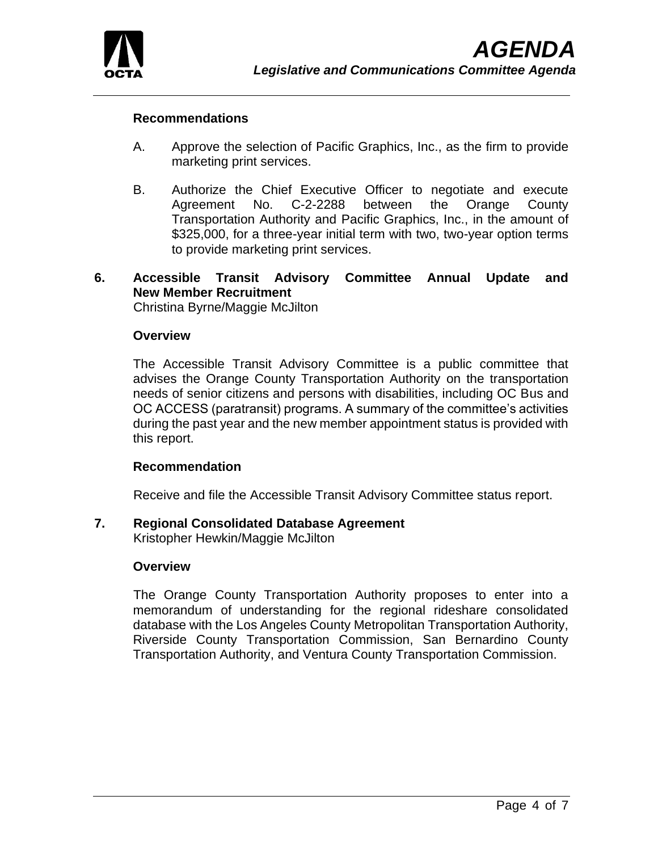

#### **Recommendations**

- A. Approve the selection of Pacific Graphics, Inc., as the firm to provide marketing print services.
- B. Authorize the Chief Executive Officer to negotiate and execute Agreement No. C-2-2288 between the Orange County Transportation Authority and Pacific Graphics, Inc., in the amount of \$325,000, for a three-year initial term with two, two-year option terms to provide marketing print services.

# **6. Accessible Transit Advisory Committee Annual Update and New Member Recruitment**

Christina Byrne/Maggie McJilton

#### **Overview**

The Accessible Transit Advisory Committee is a public committee that advises the Orange County Transportation Authority on the transportation needs of senior citizens and persons with disabilities, including OC Bus and OC ACCESS (paratransit) programs. A summary of the committee's activities during the past year and the new member appointment status is provided with this report.

#### **Recommendation**

Receive and file the Accessible Transit Advisory Committee status report.

#### **7. Regional Consolidated Database Agreement**

Kristopher Hewkin/Maggie McJilton

#### **Overview**

The Orange County Transportation Authority proposes to enter into a memorandum of understanding for the regional rideshare consolidated database with the Los Angeles County Metropolitan Transportation Authority, Riverside County Transportation Commission, San Bernardino County Transportation Authority, and Ventura County Transportation Commission.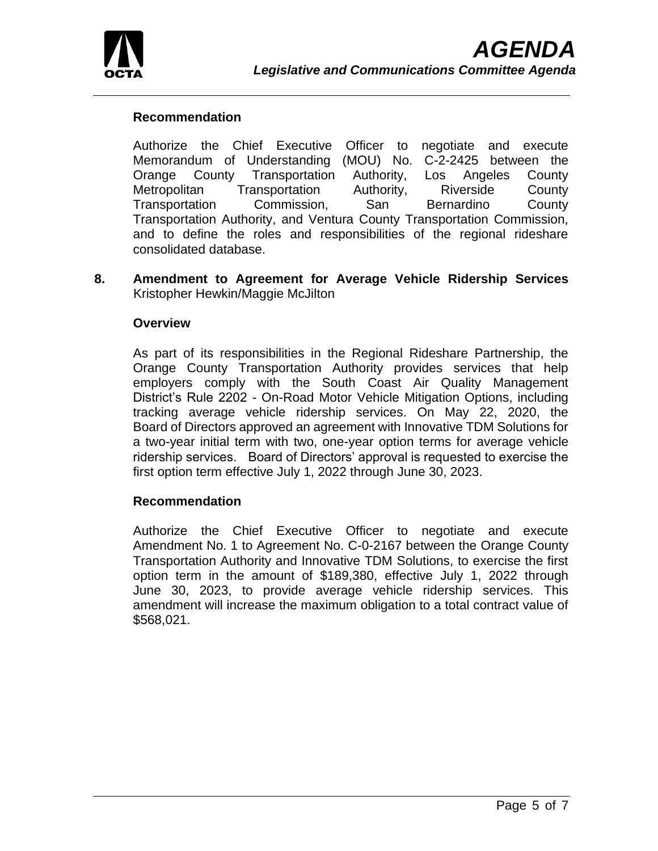

### **Recommendation**

Authorize the Chief Executive Officer to negotiate and execute Memorandum of Understanding (MOU) No. C-2-2425 between the Orange County Transportation Authority, Los Angeles County Metropolitan Transportation Authority, Riverside County Transportation Commission, San Bernardino County Transportation Authority, and Ventura County Transportation Commission, and to define the roles and responsibilities of the regional rideshare consolidated database.

**8. Amendment to Agreement for Average Vehicle Ridership Services** Kristopher Hewkin/Maggie McJilton

#### **Overview**

As part of its responsibilities in the Regional Rideshare Partnership, the Orange County Transportation Authority provides services that help employers comply with the South Coast Air Quality Management District's Rule 2202 - On-Road Motor Vehicle Mitigation Options, including tracking average vehicle ridership services. On May 22, 2020, the Board of Directors approved an agreement with Innovative TDM Solutions for a two-year initial term with two, one-year option terms for average vehicle ridership services. Board of Directors' approval is requested to exercise the first option term effective July 1, 2022 through June 30, 2023.

#### **Recommendation**

Authorize the Chief Executive Officer to negotiate and execute Amendment No. 1 to Agreement No. C-0-2167 between the Orange County Transportation Authority and Innovative TDM Solutions, to exercise the first option term in the amount of \$189,380, effective July 1, 2022 through June 30, 2023, to provide average vehicle ridership services. This amendment will increase the maximum obligation to a total contract value of \$568,021.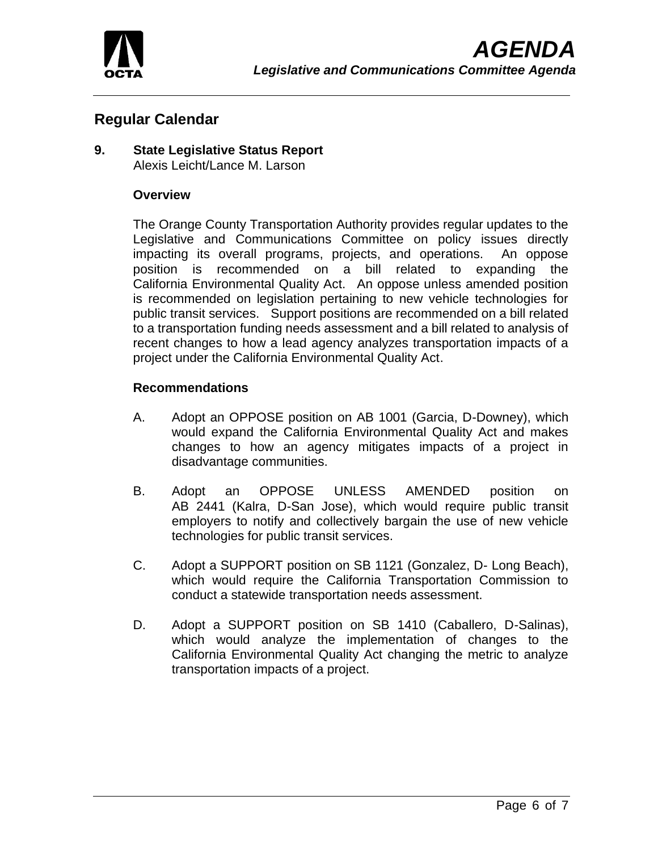

# **Regular Calendar**

### **9. State Legislative Status Report** Alexis Leicht/Lance M. Larson

### **Overview**

The Orange County Transportation Authority provides regular updates to the Legislative and Communications Committee on policy issues directly impacting its overall programs, projects, and operations. An oppose position is recommended on a bill related to expanding the California Environmental Quality Act. An oppose unless amended position is recommended on legislation pertaining to new vehicle technologies for public transit services. Support positions are recommended on a bill related to a transportation funding needs assessment and a bill related to analysis of recent changes to how a lead agency analyzes transportation impacts of a project under the California Environmental Quality Act.

### **Recommendations**

- A. Adopt an OPPOSE position on AB 1001 (Garcia, D-Downey), which would expand the California Environmental Quality Act and makes changes to how an agency mitigates impacts of a project in disadvantage communities.
- B. Adopt an OPPOSE UNLESS AMENDED position on AB 2441 (Kalra, D-San Jose), which would require public transit employers to notify and collectively bargain the use of new vehicle technologies for public transit services.
- C. Adopt a SUPPORT position on SB 1121 (Gonzalez, D- Long Beach), which would require the California Transportation Commission to conduct a statewide transportation needs assessment.
- D. Adopt a SUPPORT position on SB 1410 (Caballero, D-Salinas), which would analyze the implementation of changes to the California Environmental Quality Act changing the metric to analyze transportation impacts of a project.